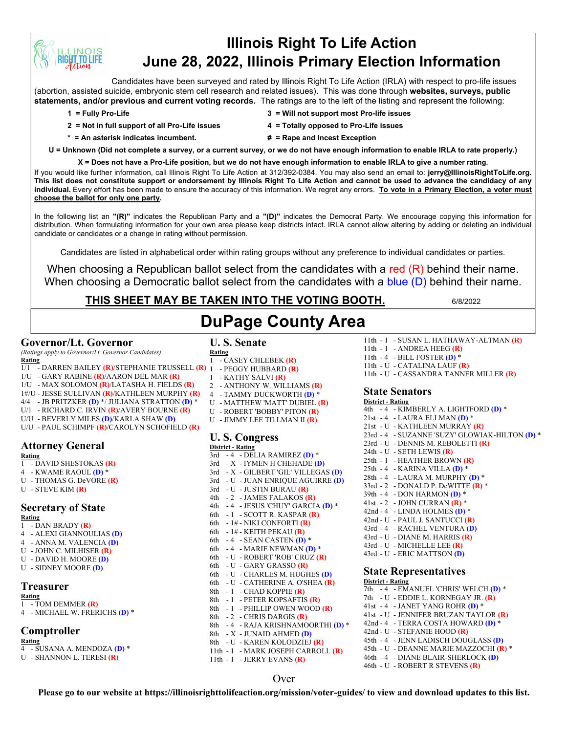# **Illinois Right To Life Action June 28, 2022, Illinois Primary Election Information**

Candidates have been surveyed and rated by Illinois Right To Life Action (IRLA) with respect to pro-life issues (abortion, assisted suicide, embryonic stem cell research and related issues). This was done through **websites, surveys, public statements, and/or previous and current voting records.** The ratings are to the left of the listing and represent the following:

**INOIS T.TO LIFE** 

- **2 = Not in full support of all Pro-Life issues 4 = Totally opposed to Pro-Life issues**
- **1 = Fully Pro-Life 3 = Will not support most Pro-life issues**
	-
- **\* = An asterisk indicates incumbent. # = Rape and Incest Exception**
- 
- **U = Unknown (Did not complete a survey, or a current survey, or we do not have enough information to enable IRLA to rate properly.)**

**X = Does not have a Pro-Life position, but we do not have enough information to enable IRLA to give a number rating.** 

If you would like further information, call Illinois Right To Life Action at 312/392-0384. You may also send an email to: **jerry@IllinoisRightToLife.org. This list does not constitute support or endorsement by Illinois Right To Life Action and cannot be used to advance the candidacy of any individual.** Every effort has been made to ensure the accuracy of this information. We regret any errors. **To vote in a Primary Election, a voter must choose the ballot for only one party.**

In the following list an **"(R)"** indicates the Republican Party and a **"(D)"** indicates the Democrat Party. We encourage copying this information for distribution. When formulating information for your own area please keep districts intact. IRLA cannot allow altering by adding or deleting an individual candidate or candidates or a change in rating without permission.

Candidates are listed in alphabetical order within rating groups without any preference to individual candidates or parties.

When choosing a Republican ballot select from the candidates with a red  $(R)$  behind their name. When choosing a Democratic ballot select from the candidates with a blue (D) behind their name.

**DuPage County Area**

# **THIS SHEET MAY BE TAKEN INTO THE VOTING BOOTH.** 6/8/2022

## **Governor/Lt. Governor**

*(Ratings apply to Governor/Lt. Governor Candidates)*

- **Rating** 1/1 - DARREN BAILEY **(R)**/STEPHANIE TRUSSELL **(R)**
- 1/U GARY RABINE **(R)**/AARON DEL MAR **(R)**
- 1/U MAX SOLOMON **(R)**/LATASHA H. FIELDS **(R)**
- 1#/U JESSE SULLIVAN **(R)**/KATHLEEN MURPHY **(R)**
- 4/4 JB PRITZKER **(D)** \*/ JULIANA STRATTON **(D)** \*
- U/1 RICHARD C. IRVIN **(R)**/AVERY BOURNE **(R)**
- U/U BEVERLY MILES **(D)**/KARLA SHAW **(D)**
- U/U PAUL SCHIMPF **(R)**/CAROLYN SCHOFIELD **(R)**

# **Attorney General**

**Rating**

- 1 DAVID SHESTOKAS **(R)**
- 4 KWAME RAOUL **(D)** \*
- U THOMAS G. DeVORE **(R)**
- U STEVE KIM **(R)**

## **Secretary of State**

**Rating** 1 - DAN BRADY **(R)**

- 
- 4 ALEXI GIANNOULIAS **(D)** 4 - ANNA M. VALENCIA **(D)**
- U JOHN C. MILHISER **(R)**
- U DAVID H. MOORE **(D)**
- U SIDNEY MOORE **(D)**

## **Treasurer**

#### **Rating**

- 1 TOM DEMMER **(R)**
- 4 MICHAEL W. FRERICHS **(D)** \*

## **Comptroller**

**Rating**

4 - SUSANA A. MENDOZA **(D)** \*

#### U - SHANNON L. TERESI **(R)**

#### **U. S. Senate Rating**

- 1 CASEY CHLEBEK **(R)**
- 1 PEGGY HUBBARD **(R)**
- 1 KATHY SALVI **(R)**
- 2 ANTHONY W. WILLIAMS **(R)**
- 4 TAMMY DUCKWORTH **(D)** \*
- U MATTHEW 'MATT' DUBIEL **(R)**
- U ROBERT 'BOBBY' PITON **(R)**
- U JIMMY LEE TILLMAN II **(R)**

#### **U. S. Congress District - Rating**

3rd - 4 - DELIA RAMIREZ **(D)** \* 3rd - X - IYMEN H CHEHADE **(D)** 3rd - X - GILBERT 'GIL' VILLEGAS **(D)** 3rd - U - JUAN ENRIQUE AGUIRRE **(D)** 3rd - U - JUSTIN BURAU **(R)** 4th - 2 - JAMES FALAKOS **(R)** 4th - 4 - JESUS 'CHUY' GARCIA **(D)** \* 6th - 1 - SCOTT R. KASPAR **(R)** 6th - 1# - NIKI CONFORTI **(R)** 6th - 1# - KEITH PEKAU **(R)** 6th - 4 - SEAN CASTEN **(D)** \* 6th - 4 - MARIE NEWMAN **(D)** \* 6th - U - ROBERT 'ROB' CRUZ **(R)** 6th - U - GARY GRASSO **(R)** 6th - U - CHARLES M. HUGHES **(D)** 6th - U - CATHERINE A. O'SHEA **(R)** 8th - 1 - CHAD KOPPIE **(R)** 8th - 1 - PETER KOPSAFTIS **(R)** 8th - 1 - PHILLIP OWEN WOOD **(R)** 8th - 2 - CHRIS DARGIS **(R)** 8th - 4 - RAJA KRISHNAMOORTHI **(D)** \* 8th - X - JUNAID AHMED **(D)** 8th - U - KAREN KOLODZIEJ **(R)** 11th - 1 - MARK JOSEPH CARROLL **(R)** 11th - 1 - JERRY EVANS **(R)**

#### 11th - 1 - SUSAN L. HATHAWAY-ALTMAN **(R)**

- 11th 1 ANDREA HEEG **(R)**
- 
- 

## **State Senators**

| <u> District - Rating</u> |  |                                                |
|---------------------------|--|------------------------------------------------|
|                           |  | 4th - 4 - KIMBERLY A. LIGHTFORD (D) *          |
|                           |  | 21st - 4 - LAURA ELLMAN (D) *                  |
|                           |  | 21st - U - KATHLEEN MURRAY (R)                 |
|                           |  | 23rd - 4 - SUZANNE 'SUZY' GLOWIAK-HILTON (D) * |
|                           |  | 23rd - U - DENNIS M. REBOLETTI (R)             |
|                           |  | 24th - U - SETH LEWIS (R)                      |
|                           |  | 25th - 1 - HEATHER BROWN (R)                   |
|                           |  | 25th - 4 - KARINA VILLA (D) *                  |
|                           |  | 28th - 4 - LAURA M. MURPHY (D) *               |
|                           |  | 33rd - 2 - DONALD P. DeWITTE $(R)$ *           |
|                           |  | 39th - 4 - DON HARMON (D) $*$                  |
|                           |  | 41st - 2 - JOHN CURRAN $(R)$ *                 |
|                           |  | 42nd - 4 - LINDA HOLMES (D) *                  |
|                           |  | 42nd - U - PAUL J. SANTUCCI (R)                |
|                           |  | 43rd - 4 - RACHEL VENTURA (D)                  |
|                           |  | 43rd - U - DIANE M. HARRIS (R)                 |
|                           |  | 43rd - U - MICHELLE LEE (R)                    |
|                           |  | 43rd - U - ERIC MATTSON (D)                    |

## **State Representatives**

**District - Rating** 7th - 4 - EMANUEL 'CHRIS' WELCH **(D)** \* 7th - U - EDDIE L. KORNEGAY JR. **(R)** 41st - 4 - JANET YANG ROHR **(D)** \* 41st - U - JENNIFER BRUZAN TAYLOR **(R)** 42nd - 4 - TERRA COSTA HOWARD **(D)** \* 42nd - U - STEFANIE HOOD **(R)** 45th - 4 - JENN LADISCH DOUGLASS **(D)** 45th - U - DEANNE MARIE MAZZOCHI **(R)** \* 46th - 4 - DIANE BLAIR-SHERLOCK **(D)** 46th - U - ROBERT R STEVENS **(R)**

## Over

**Please go to our website at https://illinoisrighttolifeaction.org/mission/voter-guides/ to view and download updates to this list.**

- 11th 4 BILL FOSTER **(D)** \* 11th - U - CATALINA LAUF **(R)**
- 11th U CASSANDRA TANNER MILLER **(R)**
- 
- **District - Rating**

- 
- 

- 
- 
- 
-